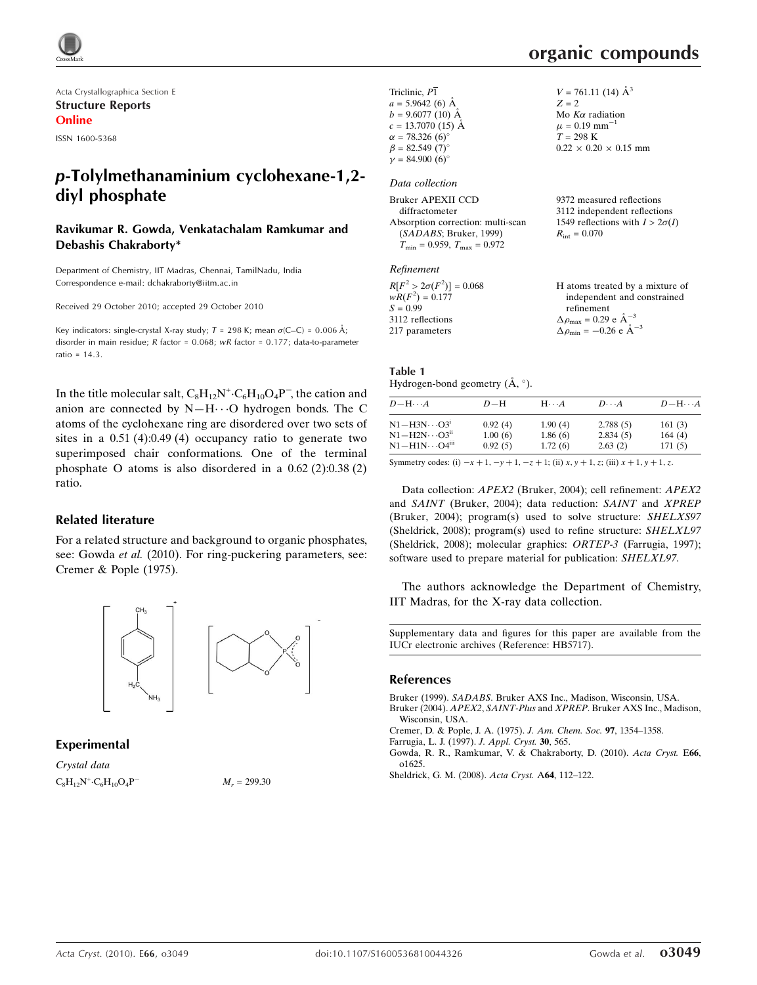

Acta Crystallographica Section E Structure Reports Online

ISSN 1600-5368

# p-Tolylmethanaminium cyclohexane-1,2 diyl phosphate

#### Ravikumar R. Gowda, Venkatachalam Ramkumar and Debashis Chakraborty\*

Department of Chemistry, IIT Madras, Chennai, TamilNadu, India Correspondence e-mail: dchakraborty@iitm.ac.in

Received 29 October 2010; accepted 29 October 2010

Key indicators: single-crystal X-ray study;  $T = 298$  K; mean  $\sigma$ (C–C) = 0.006 Å; disorder in main residue; R factor = 0.068; wR factor = 0.177; data-to-parameter ratio =  $14.3$ .

In the title molecular salt,  $C_8H_{12}N^+ \cdot C_6H_{10}O_4P^-$ , the cation and anion are connected by  $N-H\cdots O$  hydrogen bonds. The C atoms of the cyclohexane ring are disordered over two sets of sites in a 0.51 (4):0.49 (4) occupancy ratio to generate two superimposed chair conformations. One of the terminal phosphate O atoms is also disordered in a 0.62 (2):0.38 (2) ratio.

#### Related literature

For a related structure and background to organic phosphates, see: Gowda et al. (2010). For ring-puckering parameters, see: Cremer & Pople (1975).



#### Experimental

Crystal data  $C_8H_{12}N^+ \cdot C_6H_{10}O_4P^ M_r = 299.30$ 

 $\times$  0.20  $\times$  0.15 mm

| Triclinic, P1                | $V = 761.11(14)$ $\AA^3$       |
|------------------------------|--------------------------------|
| $a = 5.9642(6)$ Å            | $Z = 2$                        |
| $b = 9.6077(10)$ Å           | Mo $K\alpha$ radiation         |
| $c = 13.7070$ (15) Å         | $\mu = 0.19$ mm <sup>-1</sup>  |
| $\alpha = 78.326(6)$ °       | $T = 298 \text{ K}$            |
| $\beta = 82.549(7)$ °        | $0.22 \times 0.20 \times 0.15$ |
| $\gamma = 84.900(6)^{\circ}$ |                                |

#### Data collection

| Bruker APEXII CCD                                   | 9372 measured reflections              |
|-----------------------------------------------------|----------------------------------------|
| diffractometer                                      | 3112 independent reflections           |
| Absorption correction: multi-scan                   | 1549 reflections with $I > 2\sigma(I)$ |
| (SADABS; Bruker, 1999)                              | $R_{\rm int} = 0.070$                  |
| $T_{\text{min}} = 0.959$ , $T_{\text{max}} = 0.972$ |                                        |
| Refinement                                          |                                        |

| $R[F^2 > 2\sigma(F^2)] = 0.068$ | H atoms treated by a mixture of                     |
|---------------------------------|-----------------------------------------------------|
| $wR(F^2) = 0.177$               | independent and constrained                         |
| $S = 0.99$                      | refinement                                          |
| 3112 reflections                | $\Delta \rho_{\text{max}} = 0.29 \text{ e A}^{-3}$  |
| 217 parameters                  | $\Delta \rho_{\text{min}} = -0.26 \text{ e A}^{-3}$ |
|                                 |                                                     |

| Table 1                                            |  |
|----------------------------------------------------|--|
| Hydrogen-bond geometry $(\mathring{A}, \degree)$ . |  |

| $D - H \cdots A$                    | $D-H$   | $H\cdots A$ | $D\cdots A$ | $D - H \cdots A$ |
|-------------------------------------|---------|-------------|-------------|------------------|
| $N1 - H3N \cdots O3^i$              | 0.92(4) | 1.90(4)     | 2.788(5)    | 161(3)           |
| $N1 - H2N \cdots Q3$ <sup>ii</sup>  | 1.00(6) | 1.86(6)     | 2.834(5)    | 164(4)           |
| $N1 - H1N \cdots Q4$ <sup>iii</sup> | 0.92(5) | 1.72(6)     | 2.63(2)     | 171(5)           |

Symmetry codes: (i)  $-x + 1$ ,  $-y + 1$ ,  $-z + 1$ ; (ii)  $x, y + 1$ , z; (iii)  $x + 1$ ,  $y + 1$ , z.

Data collection: APEX2 (Bruker, 2004); cell refinement: APEX2 and SAINT (Bruker, 2004); data reduction: SAINT and XPREP (Bruker, 2004); program(s) used to solve structure: SHELXS97 (Sheldrick, 2008); program(s) used to refine structure: SHELXL97 (Sheldrick, 2008); molecular graphics: ORTEP-3 (Farrugia, 1997); software used to prepare material for publication: SHELXL97.

The authors acknowledge the Department of Chemistry, IIT Madras, for the X-ray data collection.

Supplementary data and figures for this paper are available from the IUCr electronic archives (Reference: HB5717).

#### References

Bruker (1999). SADABS[. Bruker AXS Inc., Madison, Wisconsin, USA.](http://scripts.iucr.org/cgi-bin/cr.cgi?rm=pdfbb&cnor=hb5717&bbid=BB2) Bruker (2004). APEX2, SAINT-Plus and XPREP[. Bruker AXS Inc., Madison,](http://scripts.iucr.org/cgi-bin/cr.cgi?rm=pdfbb&cnor=hb5717&bbid=BB3)

- [Wisconsin, USA.](http://scripts.iucr.org/cgi-bin/cr.cgi?rm=pdfbb&cnor=hb5717&bbid=BB3)
- [Cremer, D. & Pople, J. A. \(1975\).](http://scripts.iucr.org/cgi-bin/cr.cgi?rm=pdfbb&cnor=hb5717&bbid=BB4) J. Am. Chem. Soc. 97, 1354–1358.
- [Farrugia, L. J. \(1997\).](http://scripts.iucr.org/cgi-bin/cr.cgi?rm=pdfbb&cnor=hb5717&bbid=BB5) J. Appl. Cryst. 30, 565.
- [Gowda, R. R., Ramkumar, V. & Chakraborty, D. \(2010\).](http://scripts.iucr.org/cgi-bin/cr.cgi?rm=pdfbb&cnor=hb5717&bbid=BB6) Acta Cryst. E66, [o1625.](http://scripts.iucr.org/cgi-bin/cr.cgi?rm=pdfbb&cnor=hb5717&bbid=BB6)
- [Sheldrick, G. M. \(2008\).](http://scripts.iucr.org/cgi-bin/cr.cgi?rm=pdfbb&cnor=hb5717&bbid=BB7) Acta Cryst. A64, 112–122.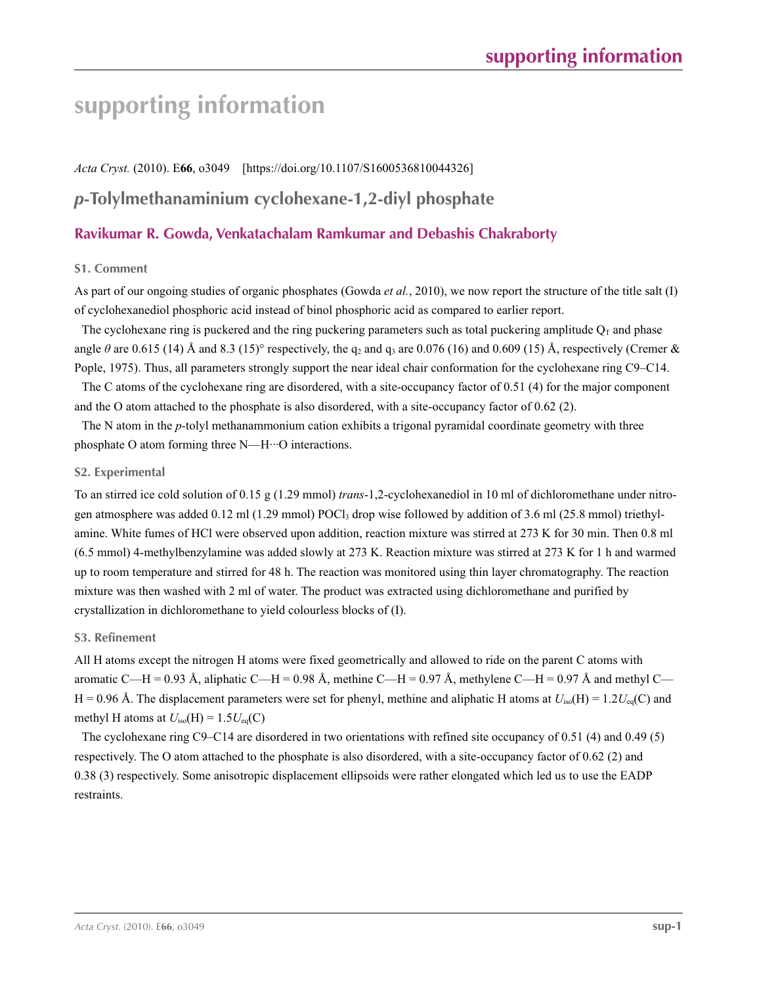# **supporting information**

*Acta Cryst.* (2010). E**66**, o3049 [https://doi.org/10.1107/S1600536810044326]

# *p***-Tolylmethanaminium cyclohexane-1,2-diyl phosphate**

### **Ravikumar R. Gowda, Venkatachalam Ramkumar and Debashis Chakraborty**

#### **S1. Comment**

As part of our ongoing studies of organic phosphates (Gowda *et al.*, 2010), we now report the structure of the title salt (I) of cyclohexanediol phosphoric acid instead of binol phosphoric acid as compared to earlier report.

The cyclohexane ring is puckered and the ring puckering parameters such as total puckering amplitude  $Q_T$  and phase angle  $\theta$  are 0.615 (14) Å and 8.3 (15)° respectively, the q<sub>2</sub> and q<sub>3</sub> are 0.076 (16) and 0.609 (15) Å, respectively (Cremer & Pople, 1975). Thus, all parameters strongly support the near ideal chair conformation for the cyclohexane ring C9–C14.

The C atoms of the cyclohexane ring are disordered, with a site-occupancy factor of 0.51 (4) for the major component and the O atom attached to the phosphate is also disordered, with a site-occupancy factor of 0.62 (2).

The N atom in the *p*-tolyl methanammonium cation exhibits a trigonal pyramidal coordinate geometry with three phosphate O atom forming three N—H···O interactions.

#### **S2. Experimental**

To an stirred ice cold solution of 0.15 g (1.29 mmol) *trans*-1,2-cyclohexanediol in 10 ml of dichloromethane under nitrogen atmosphere was added 0.12 ml (1.29 mmol) POCl<sub>3</sub> drop wise followed by addition of 3.6 ml (25.8 mmol) triethylamine. White fumes of HCl were observed upon addition, reaction mixture was stirred at 273 K for 30 min. Then 0.8 ml (6.5 mmol) 4-methylbenzylamine was added slowly at 273 K. Reaction mixture was stirred at 273 K for 1 h and warmed up to room temperature and stirred for 48 h. The reaction was monitored using thin layer chromatography. The reaction mixture was then washed with 2 ml of water. The product was extracted using dichloromethane and purified by crystallization in dichloromethane to yield colourless blocks of (I).

#### **S3. Refinement**

All H atoms except the nitrogen H atoms were fixed geometrically and allowed to ride on the parent C atoms with aromatic C—H = 0.93 Å, aliphatic C—H = 0.98 Å, methine C—H = 0.97 Å, methylene C—H = 0.97 Å and methyl C—  $H = 0.96$  Å. The displacement parameters were set for phenyl, methine and aliphatic H atoms at  $U_{iso}(H) = 1.2U_{eq}(C)$  and methyl H atoms at  $U_{\text{iso}}(H) = 1.5U_{\text{eq}}(C)$ 

The cyclohexane ring C9–C14 are disordered in two orientations with refined site occupancy of 0.51 (4) and 0.49 (5) respectively. The O atom attached to the phosphate is also disordered, with a site-occupancy factor of 0.62 (2) and 0.38 (3) respectively. Some anisotropic displacement ellipsoids were rather elongated which led us to use the EADP restraints.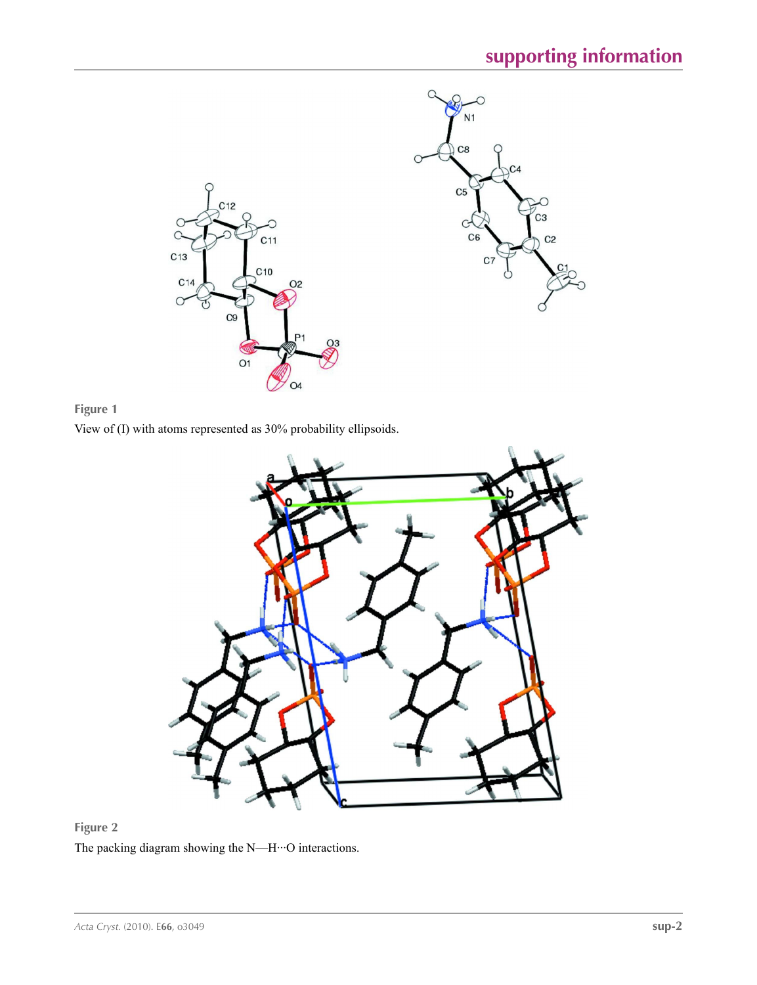



View of (I) with atoms represented as 30% probability ellipsoids.



## **Figure 2**

The packing diagram showing the N—H···O interactions.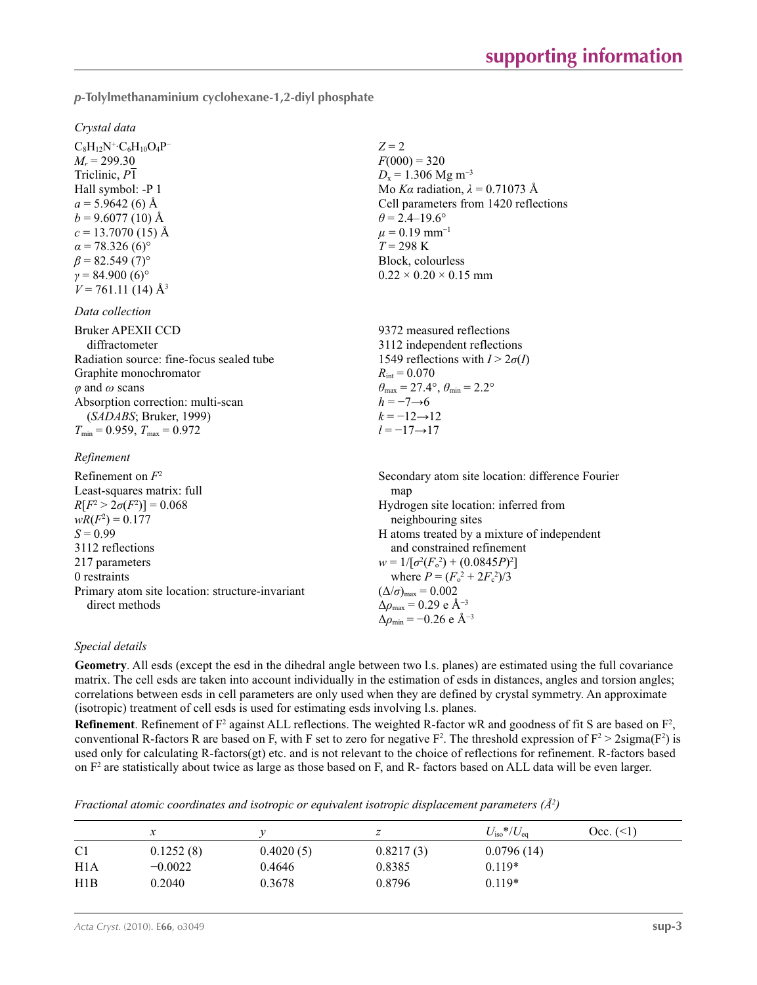*p***-Tolylmethanaminium cyclohexane-1,2-diyl phosphate** 

#### *Crystal data*

 $C_8H_{12}N^+$ · $C_6H_{10}O_4P^ M_r = 299.30$ Triclinic, *P*1 Hall symbol: -P 1  $a = 5.9642(6)$  Å  $b = 9.6077(10)$  Å  $c = 13.7070(15)$  Å  $\alpha$  = 78.326 (6)<sup>o</sup>  $\beta$  = 82.549 (7)<sup>°</sup>  $γ = 84.900(6)°$  $V = 761.11(14)$  Å<sup>3</sup>

#### *Data collection*

Bruker APEXII CCD diffractometer Radiation source: fine-focus sealed tube Graphite monochromator *φ* and *ω* scans Absorption correction: multi-scan (*SADABS*; Bruker, 1999)  $T_{\text{min}} = 0.959, T_{\text{max}} = 0.972$ 

### $R_{\alpha}$

| кеппетепи                                       |                                                   |
|-------------------------------------------------|---------------------------------------------------|
| Refinement on $F^2$                             | Secondary atom site location: difference Fourier  |
| Least-squares matrix: full                      | map                                               |
| $R[F^2 > 2\sigma(F^2)] = 0.068$                 | Hydrogen site location: inferred from             |
| $wR(F^2) = 0.177$                               | neighbouring sites                                |
| $S = 0.99$                                      | H atoms treated by a mixture of independent       |
| 3112 reflections                                | and constrained refinement                        |
| 217 parameters                                  | $w = 1/[\sigma^2(F_0^2) + (0.0845P)^2]$           |
| 0 restraints                                    | where $P = (F_o^2 + 2F_c^2)/3$                    |
| Primary atom site location: structure-invariant | $(\Delta/\sigma)_{\text{max}} = 0.002$            |
| direct methods                                  | $\Delta\rho_{\text{max}} = 0.29 \text{ e A}^{-3}$ |
|                                                 | $\Delta\rho_{\rm min} = -0.26$ e Å <sup>-3</sup>  |

 $Z = 2$  $F(000) = 320$  $D_x = 1.306$  Mg m<sup>-3</sup>

 $\theta$  = 2.4–19.6°  $\mu$  = 0.19 mm<sup>-1</sup>  $T = 298 \text{ K}$ Block, colourless  $0.22 \times 0.20 \times 0.15$  mm

 $R_{\text{int}} = 0.070$ 

 $h = -7 \rightarrow 6$  $k = -12 \rightarrow 12$ *l* = −17→17

Mo *Kα* radiation, *λ* = 0.71073 Å Cell parameters from 1420 reflections

9372 measured reflections 3112 independent reflections 1549 reflections with  $I > 2\sigma(I)$ 

 $\theta_{\text{max}} = 27.4^{\circ}, \theta_{\text{min}} = 2.2^{\circ}$ 

#### *Special details*

**Geometry**. All esds (except the esd in the dihedral angle between two l.s. planes) are estimated using the full covariance matrix. The cell esds are taken into account individually in the estimation of esds in distances, angles and torsion angles; correlations between esds in cell parameters are only used when they are defined by crystal symmetry. An approximate (isotropic) treatment of cell esds is used for estimating esds involving l.s. planes.

**Refinement**. Refinement of  $F^2$  against ALL reflections. The weighted R-factor wR and goodness of fit S are based on  $F^2$ , conventional R-factors R are based on F, with F set to zero for negative  $F^2$ . The threshold expression of  $F^2 > 2 \text{sigma}(F^2)$  is used only for calculating R-factors(gt) etc. and is not relevant to the choice of reflections for refinement. R-factors based on  $F<sup>2</sup>$  are statistically about twice as large as those based on F, and R- factors based on ALL data will be even larger.

*Fractional atomic coordinates and isotropic or equivalent isotropic displacement parameters (Å<sup>2</sup>)* 

|                  | $\mathcal{X}$ |           | ∼         | $U_{\rm iso}*/U_{\rm eq}$ | Occ. (<1) |
|------------------|---------------|-----------|-----------|---------------------------|-----------|
| C <sub>1</sub>   | 0.1252(8)     | 0.4020(5) | 0.8217(3) | 0.0796(14)                |           |
| H <sub>1</sub> A | $-0.0022$     | 0.4646    | 0.8385    | $0.119*$                  |           |
| H1B              | 0.2040        | 0.3678    | 0.8796    | $0.119*$                  |           |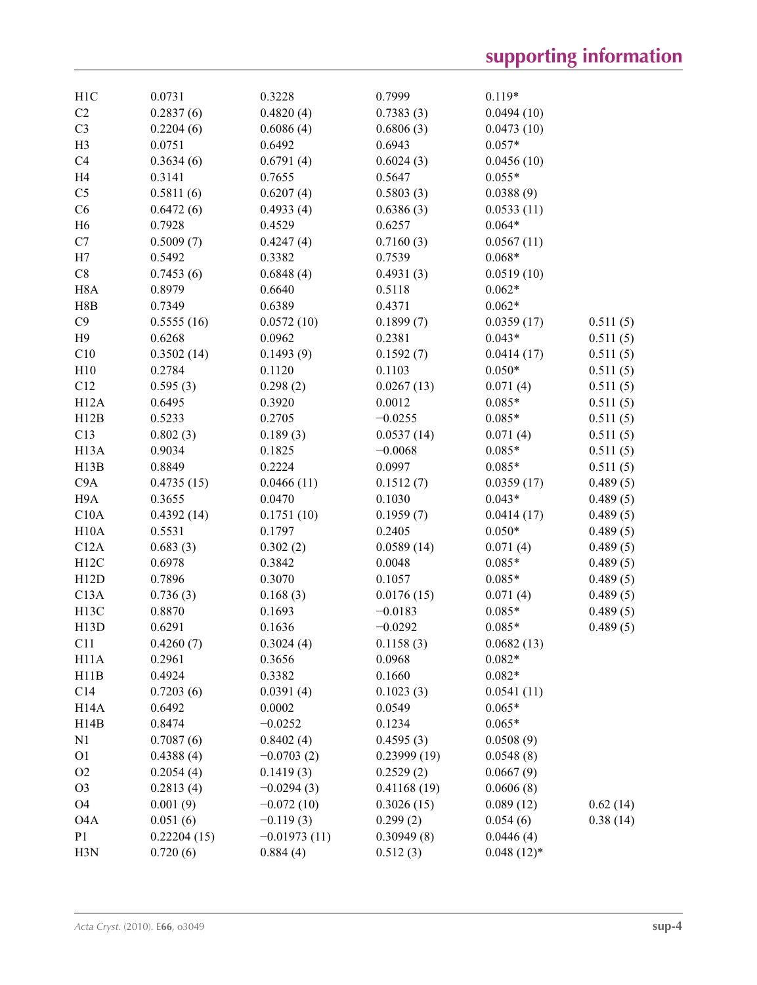| H1C               | 0.0731      | 0.3228         | 0.7999      | $0.119*$     |          |
|-------------------|-------------|----------------|-------------|--------------|----------|
| C2                | 0.2837(6)   | 0.4820(4)      | 0.7383(3)   | 0.0494(10)   |          |
| C <sub>3</sub>    | 0.2204(6)   | 0.6086(4)      | 0.6806(3)   | 0.0473(10)   |          |
| H <sub>3</sub>    | 0.0751      | 0.6492         | 0.6943      | $0.057*$     |          |
| C4                | 0.3634(6)   | 0.6791(4)      | 0.6024(3)   | 0.0456(10)   |          |
| H <sub>4</sub>    | 0.3141      | 0.7655         | 0.5647      | $0.055*$     |          |
| C <sub>5</sub>    | 0.5811(6)   | 0.6207(4)      | 0.5803(3)   | 0.0388(9)    |          |
| C6                | 0.6472(6)   | 0.4933(4)      | 0.6386(3)   | 0.0533(11)   |          |
| H <sub>6</sub>    | 0.7928      | 0.4529         | 0.6257      | $0.064*$     |          |
| C7                | 0.5009(7)   | 0.4247(4)      | 0.7160(3)   | 0.0567(11)   |          |
| H7                | 0.5492      | 0.3382         | 0.7539      | $0.068*$     |          |
| C8                | 0.7453(6)   | 0.6848(4)      | 0.4931(3)   | 0.0519(10)   |          |
| H <sub>8</sub> A  | 0.8979      | 0.6640         | 0.5118      | $0.062*$     |          |
| H8B               | 0.7349      | 0.6389         | 0.4371      | $0.062*$     |          |
| C9                | 0.5555(16)  | 0.0572(10)     | 0.1899(7)   | 0.0359(17)   | 0.511(5) |
| H9                | 0.6268      | 0.0962         | 0.2381      | $0.043*$     | 0.511(5) |
| C10               | 0.3502(14)  | 0.1493(9)      | 0.1592(7)   | 0.0414(17)   | 0.511(5) |
| H10               | 0.2784      | 0.1120         | 0.1103      | $0.050*$     | 0.511(5) |
| C12               | 0.595(3)    | 0.298(2)       | 0.0267(13)  | 0.071(4)     | 0.511(5) |
| H12A              | 0.6495      | 0.3920         | 0.0012      | $0.085*$     | 0.511(5) |
| H12B              | 0.5233      | 0.2705         | $-0.0255$   | $0.085*$     | 0.511(5) |
| C13               | 0.802(3)    | 0.189(3)       | 0.0537(14)  | 0.071(4)     | 0.511(5) |
| H <sub>13</sub> A | 0.9034      | 0.1825         | $-0.0068$   | $0.085*$     | 0.511(5) |
| H13B              | 0.8849      | 0.2224         | 0.0997      | $0.085*$     | 0.511(5) |
| C9A               | 0.4735(15)  | 0.0466(11)     | 0.1512(7)   | 0.0359(17)   | 0.489(5) |
| H <sub>9</sub> A  | 0.3655      | 0.0470         | 0.1030      | $0.043*$     | 0.489(5) |
|                   |             |                |             |              |          |
| C10A              | 0.4392(14)  | 0.1751(10)     | 0.1959(7)   | 0.0414(17)   | 0.489(5) |
| H10A              | 0.5531      | 0.1797         | 0.2405      | $0.050*$     | 0.489(5) |
| C12A              | 0.683(3)    | 0.302(2)       | 0.0589(14)  | 0.071(4)     | 0.489(5) |
| H12C              | 0.6978      | 0.3842         | 0.0048      | $0.085*$     | 0.489(5) |
| H12D              | 0.7896      | 0.3070         | 0.1057      | $0.085*$     | 0.489(5) |
| C13A              | 0.736(3)    | 0.168(3)       | 0.0176(15)  | 0.071(4)     | 0.489(5) |
| H13C              | 0.8870      | 0.1693         | $-0.0183$   | $0.085*$     | 0.489(5) |
| H13D              | 0.6291      | 0.1636         | $-0.0292$   | $0.085*$     | 0.489(5) |
| C11               | 0.4260(7)   | 0.3024(4)      | 0.1158(3)   | 0.0682(13)   |          |
| H <sub>11</sub> A | 0.2961      | 0.3656         | 0.0968      | $0.082*$     |          |
| H11B              | 0.4924      | 0.3382         | 0.1660      | $0.082*$     |          |
| C14               | 0.7203(6)   | 0.0391(4)      | 0.1023(3)   | 0.0541(11)   |          |
| H <sub>14</sub> A | 0.6492      | 0.0002         | 0.0549      | $0.065*$     |          |
| H14B              | 0.8474      | $-0.0252$      | 0.1234      | $0.065*$     |          |
| N1                | 0.7087(6)   | 0.8402(4)      | 0.4595(3)   | 0.0508(9)    |          |
| O <sub>1</sub>    | 0.4388(4)   | $-0.0703(2)$   | 0.23999(19) | 0.0548(8)    |          |
| O <sub>2</sub>    | 0.2054(4)   | 0.1419(3)      | 0.2529(2)   | 0.0667(9)    |          |
| O <sub>3</sub>    | 0.2813(4)   | $-0.0294(3)$   | 0.41168(19) | 0.0606(8)    |          |
| O <sub>4</sub>    | 0.001(9)    | $-0.072(10)$   | 0.3026(15)  | 0.089(12)    | 0.62(14) |
| O <sub>4</sub> A  | 0.051(6)    | $-0.119(3)$    | 0.299(2)    | 0.054(6)     | 0.38(14) |
| P <sub>1</sub>    | 0.22204(15) | $-0.01973(11)$ | 0.30949(8)  | 0.0446(4)    |          |
| H3N               | 0.720(6)    | 0.884(4)       | 0.512(3)    | $0.048(12)*$ |          |
|                   |             |                |             |              |          |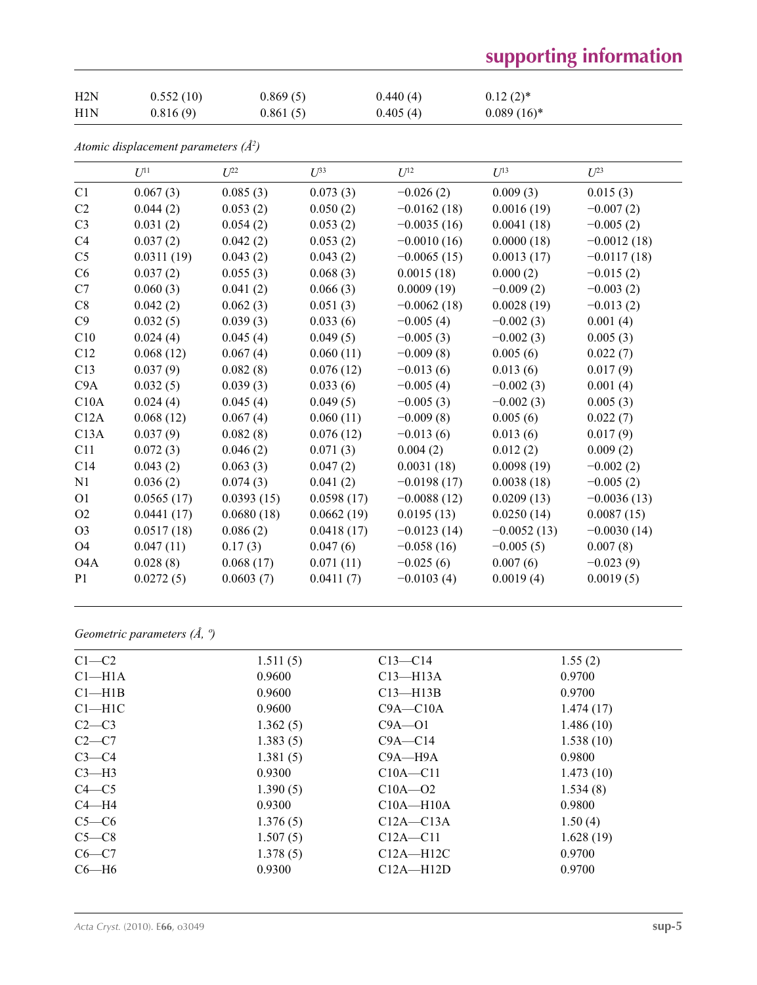# **supporting information**

| H2N | 0.552(10) | 0.869(5) | 0.440(4) | $0.12(2)$ *   |
|-----|-----------|----------|----------|---------------|
| H1N | 0.816(9)  | 0.861(5) | 0.405(4) | $0.089(16)^*$ |

*Atomic displacement parameters (Å2 )*

|                  | $U^{11}$   | $L^{22}$   | $U^{33}$   | $U^{12}$      | $U^{13}$      | $U^{23}$      |
|------------------|------------|------------|------------|---------------|---------------|---------------|
| C1               | 0.067(3)   | 0.085(3)   | 0.073(3)   | $-0.026(2)$   | 0.009(3)      | 0.015(3)      |
| C2               | 0.044(2)   | 0.053(2)   | 0.050(2)   | $-0.0162(18)$ | 0.0016(19)    | $-0.007(2)$   |
| C <sub>3</sub>   | 0.031(2)   | 0.054(2)   | 0.053(2)   | $-0.0035(16)$ | 0.0041(18)    | $-0.005(2)$   |
| C <sub>4</sub>   | 0.037(2)   | 0.042(2)   | 0.053(2)   | $-0.0010(16)$ | 0.0000(18)    | $-0.0012(18)$ |
| C <sub>5</sub>   | 0.0311(19) | 0.043(2)   | 0.043(2)   | $-0.0065(15)$ | 0.0013(17)    | $-0.0117(18)$ |
| C6               | 0.037(2)   | 0.055(3)   | 0.068(3)   | 0.0015(18)    | 0.000(2)      | $-0.015(2)$   |
| C7               | 0.060(3)   | 0.041(2)   | 0.066(3)   | 0.0009(19)    | $-0.009(2)$   | $-0.003(2)$   |
| C8               | 0.042(2)   | 0.062(3)   | 0.051(3)   | $-0.0062(18)$ | 0.0028(19)    | $-0.013(2)$   |
| C9               | 0.032(5)   | 0.039(3)   | 0.033(6)   | $-0.005(4)$   | $-0.002(3)$   | 0.001(4)      |
| C10              | 0.024(4)   | 0.045(4)   | 0.049(5)   | $-0.005(3)$   | $-0.002(3)$   | 0.005(3)      |
| C12              | 0.068(12)  | 0.067(4)   | 0.060(11)  | $-0.009(8)$   | 0.005(6)      | 0.022(7)      |
| C13              | 0.037(9)   | 0.082(8)   | 0.076(12)  | $-0.013(6)$   | 0.013(6)      | 0.017(9)      |
| C9A              | 0.032(5)   | 0.039(3)   | 0.033(6)   | $-0.005(4)$   | $-0.002(3)$   | 0.001(4)      |
| C10A             | 0.024(4)   | 0.045(4)   | 0.049(5)   | $-0.005(3)$   | $-0.002(3)$   | 0.005(3)      |
| C12A             | 0.068(12)  | 0.067(4)   | 0.060(11)  | $-0.009(8)$   | 0.005(6)      | 0.022(7)      |
| C13A             | 0.037(9)   | 0.082(8)   | 0.076(12)  | $-0.013(6)$   | 0.013(6)      | 0.017(9)      |
| C11              | 0.072(3)   | 0.046(2)   | 0.071(3)   | 0.004(2)      | 0.012(2)      | 0.009(2)      |
| C14              | 0.043(2)   | 0.063(3)   | 0.047(2)   | 0.0031(18)    | 0.0098(19)    | $-0.002(2)$   |
| N1               | 0.036(2)   | 0.074(3)   | 0.041(2)   | $-0.0198(17)$ | 0.0038(18)    | $-0.005(2)$   |
| O <sub>1</sub>   | 0.0565(17) | 0.0393(15) | 0.0598(17) | $-0.0088(12)$ | 0.0209(13)    | $-0.0036(13)$ |
| O <sub>2</sub>   | 0.0441(17) | 0.0680(18) | 0.0662(19) | 0.0195(13)    | 0.0250(14)    | 0.0087(15)    |
| O <sub>3</sub>   | 0.0517(18) | 0.086(2)   | 0.0418(17) | $-0.0123(14)$ | $-0.0052(13)$ | $-0.0030(14)$ |
| O <sub>4</sub>   | 0.047(11)  | 0.17(3)    | 0.047(6)   | $-0.058(16)$  | $-0.005(5)$   | 0.007(8)      |
| O <sub>4</sub> A | 0.028(8)   | 0.068(17)  | 0.071(11)  | $-0.025(6)$   | 0.007(6)      | $-0.023(9)$   |
| P <sub>1</sub>   | 0.0272(5)  | 0.0603(7)  | 0.0411(7)  | $-0.0103(4)$  | 0.0019(4)     | 0.0019(5)     |
|                  |            |            |            |               |               |               |

*Geometric parameters (Å, º)*

| $C1-C2$            | 1.511(5) | $C13 - C14$   | 1.55(2)   |
|--------------------|----------|---------------|-----------|
| Cl <sub>–H1A</sub> | 0.9600   | $C13 - H13A$  | 0.9700    |
| $Cl$ —H1B          | 0.9600   | $C13$ —H13B   | 0.9700    |
| $C1 - H1C$         | 0.9600   | $C9A - C10A$  | 1.474(17) |
| $C2-C3$            | 1.362(5) | $C9A - 01$    | 1.486(10) |
| $C2-C7$            | 1.383(5) | $C9A - C14$   | 1.538(10) |
| $C3-C4$            | 1.381(5) | $C9A - H9A$   | 0.9800    |
| $C3-H3$            | 0.9300   | $C10A - C11$  | 1.473(10) |
| $C4 - C5$          | 1.390(5) | $C10A - 02$   | 1.534(8)  |
| $C4 - H4$          | 0.9300   | $C10A - H10A$ | 0.9800    |
| $C5-C6$            | 1.376(5) | $C12A - C13A$ | 1.50(4)   |
| $C5-C8$            | 1.507(5) | $C12A - C11$  | 1.628(19) |
| $C6-C7$            | 1.378(5) | $C12A - H12C$ | 0.9700    |
| $C6 - H6$          | 0.9300   | $C12A - H12D$ | 0.9700    |
|                    |          |               |           |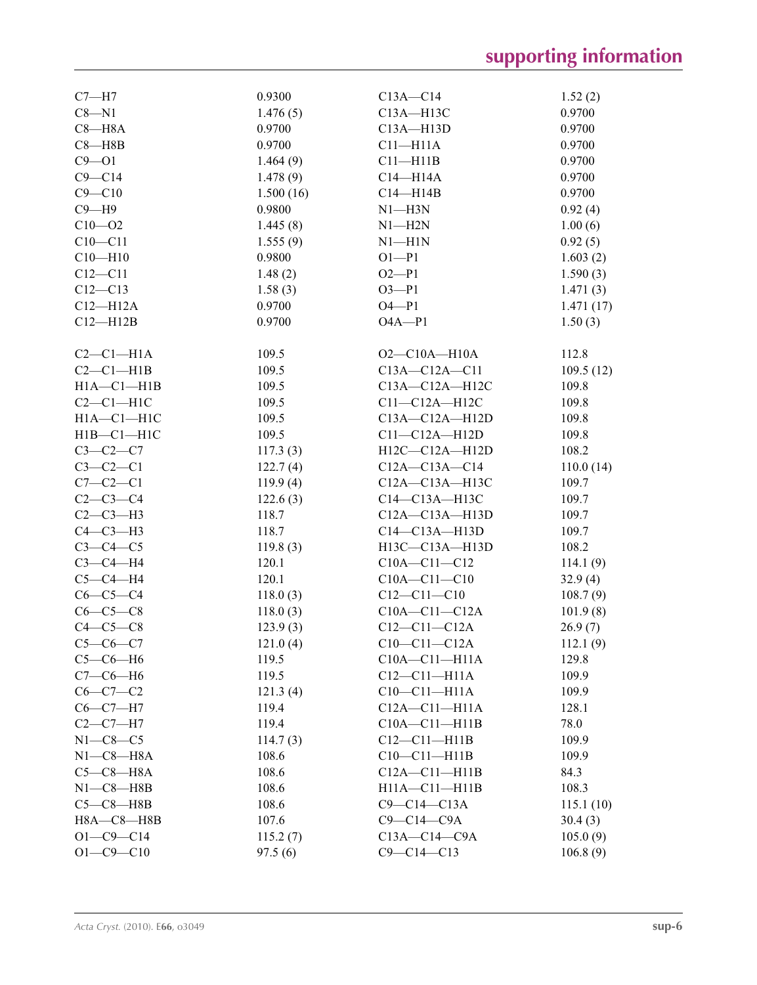| $C7 - H7$        | 0.9300    | $C13A - C14$         | 1.52(2)   |
|------------------|-----------|----------------------|-----------|
| $C8 - N1$        | 1.476(5)  | $C13A - H13C$        | 0.9700    |
| $C8 - H8A$       | 0.9700    | C13A-H13D            | 0.9700    |
| $C8 - H8B$       | 0.9700    | $C11 - H11A$         | 0.9700    |
| $C9 - 01$        | 1.464(9)  | $C11 - H11B$         | 0.9700    |
| $C9 - C14$       | 1.478(9)  | $C14 - H14A$         | 0.9700    |
| $C9 - C10$       | 1.500(16) | $C14 - H14B$         | 0.9700    |
| $C9 - H9$        | 0.9800    | $N1$ —H3N            | 0.92(4)   |
| $C10 - 02$       | 1.445(8)  | $N1 - H2N$           | 1.00(6)   |
| $C10 - C11$      | 1.555(9)  | $N1$ —H $1N$         | 0.92(5)   |
| $C10 - H10$      | 0.9800    | $O1 - P1$            | 1.603(2)  |
| $C12 - C11$      | 1.48(2)   | $O2 - P1$            | 1.590(3)  |
| $C12 - C13$      | 1.58(3)   | $O3 - P1$            | 1.471(3)  |
| $C12 - H12A$     | 0.9700    | $O4 - P1$            | 1.471(17) |
| $C12 - H12B$     | 0.9700    | $O4A - P1$           | 1.50(3)   |
|                  |           |                      |           |
| $C2-C1-H1A$      | 109.5     | $O2$ — $C10A$ —H10A  | 112.8     |
| $C2-C1-H1B$      | 109.5     | $C13A - C12A - C11$  | 109.5(12) |
| $H1A - C1 - H1B$ | 109.5     | $C13A - C12A - H12C$ | 109.8     |
| $C2-C1-H1C$      | 109.5     | $C11-C12A-H12C$      | 109.8     |
| $H1A - C1 - H1C$ | 109.5     | $C13A - C12A - H12D$ | 109.8     |
| $H1B - C1 - H1C$ | 109.5     | $C11-C12A-H12D$      | 109.8     |
| $C3-C2-C7$       | 117.3(3)  | H12C-C12A-H12D       | 108.2     |
| $C3-C2-C1$       | 122.7(4)  | $C12A - C13A - C14$  | 110.0(14) |
| $C7-C2-C1$       | 119.9(4)  | $C12A - C13A - H13C$ | 109.7     |
| $C2 - C3 - C4$   | 122.6(3)  | C14-C13A-H13C        | 109.7     |
| $C2-C3-H3$       | 118.7     | $C12A - C13A - H13D$ | 109.7     |
| $C4-C3-H3$       | 118.7     | $C14-C13A-H13D$      | 109.7     |
| $C3-C4-C5$       | 119.8(3)  | H13C-C13A-H13D       | 108.2     |
| $C3-C4-H4$       | 120.1     | $C10A - C11 - C12$   | 114.1(9)  |
| $C5-C4-H4$       | 120.1     | $C10A - C11 - C10$   | 32.9(4)   |
| $C6-C5-C4$       | 118.0(3)  | $C12 - C11 - C10$    | 108.7(9)  |
| $C6-C5-C8$       | 118.0(3)  | $C10A - C11 - C12A$  | 101.9(8)  |
| $C4-C5-C8$       | 123.9(3)  | $C12 - C11 - C12A$   | 26.9(7)   |
| $C5-C6-C7$       | 121.0(4)  | $C10-C11-C12A$       | 112.1(9)  |
| $C5-C6-H6$       | 119.5     | $C10A - C11 - H11A$  | 129.8     |
| $C7-C6-H6$       | 119.5     | $C12-C11-H11A$       | 109.9     |
| $C6 - C7 - C2$   | 121.3(4)  | $C10-C11-H11A$       | 109.9     |
| $C6-C7-H7$       | 119.4     | $C12A - C11 - H11A$  | 128.1     |
| $C2-C7-H7$       | 119.4     | $C10A - C11 - H11B$  | 78.0      |
| $N1-C8-C5$       | 114.7(3)  | $C12-C11-H11B$       | 109.9     |
| $N1-C8-H8A$      | 108.6     | $C10-C11-H11B$       | 109.9     |
| $C5-C8-H8A$      | 108.6     | $C12A - C11 - H11B$  | 84.3      |
| $N1-C8 - H8B$    | 108.6     | $H11A - C11 - H11B$  | 108.3     |
| $C5-C8-HBB$      | 108.6     | $C9-C14-C13A$        | 115.1(10) |
| H8A-C8-H8B       | 107.6     | $C9-C14-C9A$         | 30.4(3)   |
| $O1 - C9 - C14$  | 115.2(7)  | $C13A - C14 - C9A$   | 105.0(9)  |
| $O1 - C9 - C10$  | 97.5(6)   | $C9 - C14 - C13$     | 106.8(9)  |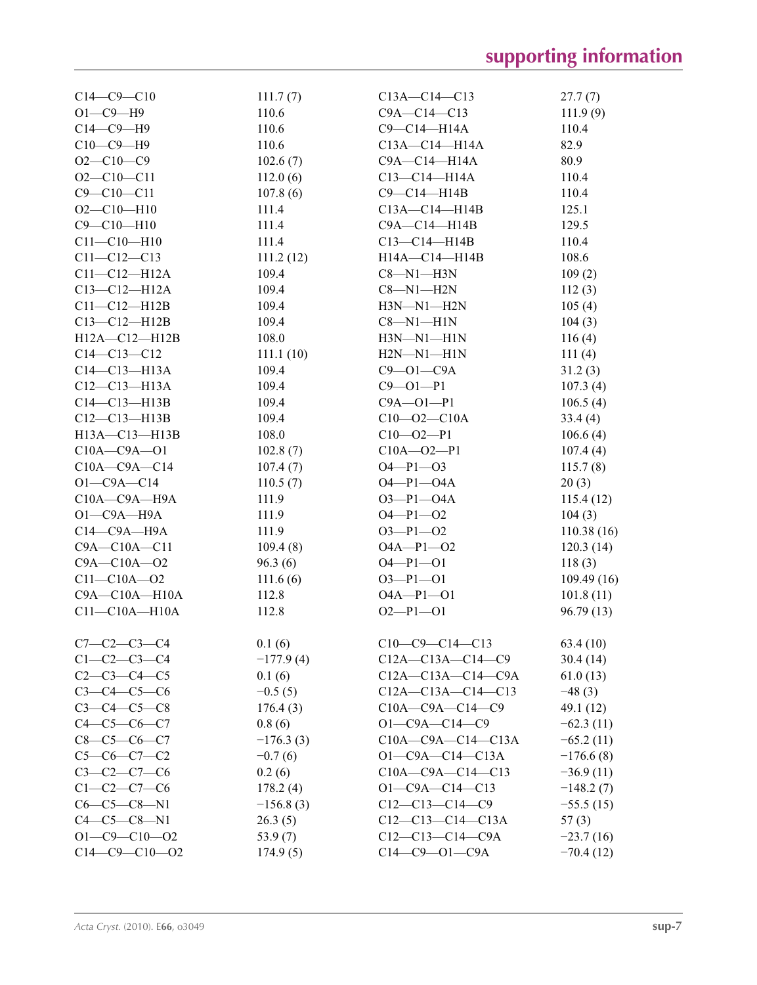| $C14 - C9 - C10$     | 111.7(7)    | $C13A - C14 - C13$        | 27.7(7)     |
|----------------------|-------------|---------------------------|-------------|
| $O1 - C9 - H9$       | 110.6       | $C9A - C14 - C13$         | 111.9(9)    |
| $C14-C9-H9$          | 110.6       | $C9 - C14 - H14A$         | 110.4       |
| $C10-C9-H9$          | 110.6       | $C13A - C14 - H14A$       | 82.9        |
| $O2 - C10 - C9$      | 102.6(7)    | $C9A - C14 - H14A$        | 80.9        |
| $O2 - C10 - C11$     | 112.0(6)    | $C13 - C14 - H14A$        | 110.4       |
| $C9 - C10 - C11$     | 107.8(6)    | $C9-C14-H14B$             | 110.4       |
| $O2 - C10 - H10$     | 111.4       | $C13A - C14 - H14B$       | 125.1       |
| $C9 - C10 - H10$     | 111.4       | $C9A - C14 - H14B$        | 129.5       |
| $C11 - C10 - H10$    | 111.4       | $C13 - C14 - H14B$        | 110.4       |
| $C11 - C12 - C13$    | 111.2(12)   | $H14A - C14 - H14B$       | 108.6       |
| $C11 - C12 - H12A$   | 109.4       | $C8 - N1 - H3N$           | 109(2)      |
| $C13 - C12 - H12A$   | 109.4       | $C8 - N1 - H2N$           | 112(3)      |
| $C11-C12-H12B$       | 109.4       | $H3N-M1-H2N$              | 105(4)      |
| $C13 - C12 - H12B$   | 109.4       | $C8 - N1 - H1N$           | 104(3)      |
| $H12A - C12 - H12B$  | 108.0       | H3N-N1-H1N                | 116(4)      |
| $C14 - C13 - C12$    | 111.1(10)   | $H2N-M1-H1N$              | 111(4)      |
| $C14 - C13 - H13A$   | 109.4       | $C9 - 01 - C9A$           | 31.2(3)     |
| $C12-C13-H13A$       | 109.4       | $C9 - 01 - P1$            | 107.3(4)    |
| $C14 - C13 - H13B$   | 109.4       | $C9A - O1 - P1$           |             |
|                      |             |                           | 106.5(4)    |
| $C12-C13-H13B$       | 109.4       | $C10 - 02 - C10A$         | 33.4(4)     |
| H13A-C13-H13B        | 108.0       | $C10 - 02 - P1$           | 106.6(4)    |
| $C10A - C9A - O1$    | 102.8(7)    | $C10A - 02 - P1$          | 107.4(4)    |
| $C10A - C9A - C14$   | 107.4(7)    | $O4 - P1 - O3$            | 115.7(8)    |
| $O1 - C9A - C14$     | 110.5(7)    | $O4 - P1 - O4A$           | 20(3)       |
| $C10A - C9A - H9A$   | 111.9       | $O3 - P1 - O4A$           | 115.4(12)   |
| $O1 - C9A - H9A$     | 111.9       | $O4 - P1 - O2$            | 104(3)      |
| $C14-C9A-H9A$        | 111.9       | $O3 - P1 - O2$            | 110.38(16)  |
| $C9A - C10A - C11$   | 109.4(8)    | $O4A - P1 - O2$           | 120.3(14)   |
| $C9A - C10A - 02$    | 96.3(6)     | $O4 - P1 - O1$            | 118(3)      |
| $C11 - C10A - 02$    | 111.6(6)    | $O3 - P1 - O1$            | 109.49(16)  |
| $C9A - C10A - H10A$  | 112.8       | $O4A - P1 - O1$           | 101.8(11)   |
| $C11-C10A-H10A$      | 112.8       | $O2-P1-O1$                | 96.79(13)   |
|                      |             |                           |             |
| $C7 - C2 - C3 - C4$  | 0.1(6)      | $C10-C9-C14-C13$          | 63.4(10)    |
| $C1 - C2 - C3 - C4$  | $-177.9(4)$ | $C12A - C13A - C14 - C9$  | 30.4(14)    |
| $C2-C3-C4-C5$        | 0.1(6)      | $C12A - C13A - C14 - C9A$ | 61.0(13)    |
| $C3 - C4 - C5 - C6$  | $-0.5(5)$   | $C12A - C13A - C14 - C13$ | $-48(3)$    |
| $C3 - C4 - C5 - C8$  | 176.4(3)    | $C10A - C9A - C14 - C9$   | 49.1 (12)   |
| $C4-C5-C6-C7$        | 0.8(6)      | $O1 - C9A - C14 - C9$     | $-62.3(11)$ |
| $C8-C5-C6-C7$        | $-176.3(3)$ | $C10A - C9A - C14 - C13A$ | $-65.2(11)$ |
| $C5-C6-C7-C2$        | $-0.7(6)$   | $O1 - C9A - C14 - C13A$   | $-176.6(8)$ |
| $C3-C2-C7-C6$        | 0.2(6)      | $C10A - C9A - C14 - C13$  | $-36.9(11)$ |
| $C1 - C2 - C7 - C6$  | 178.2(4)    | $O1 - C9A - C14 - C13$    | $-148.2(7)$ |
| $C6-C5-C8-N1$        | $-156.8(3)$ | $C12-C13-C14-C9$          | $-55.5(15)$ |
| $C4 - C5 - C8 - N1$  | 26.3(5)     | $C12-C13-C14-C13A$        | 57(3)       |
| $O1 - C9 - C10 - O2$ | 53.9 $(7)$  | $C12-C13-C14-C9A$         | $-23.7(16)$ |
| $C14-C9-C10-O2$      | 174.9(5)    | $C14 - C9 - O1 - C9A$     | $-70.4(12)$ |